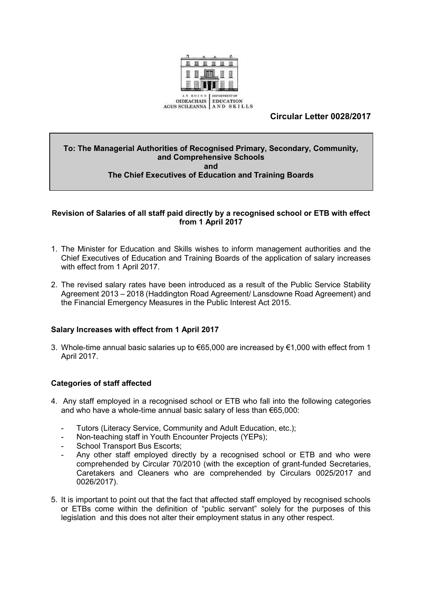

# **Circular Letter 0028/2017**

#### **To: The Managerial Authorities of Recognised Primary, Secondary, Community, and Comprehensive Schools and The Chief Executives of Education and Training Boards**

#### **Revision of Salaries of all staff paid directly by a recognised school or ETB with effect from 1 April 2017**

- 1. The Minister for Education and Skills wishes to inform management authorities and the Chief Executives of Education and Training Boards of the application of salary increases with effect from 1 April 2017.
- 2. The revised salary rates have been introduced as a result of the Public Service Stability Agreement 2013 – 2018 (Haddington Road Agreement/ Lansdowne Road Agreement) and the Financial Emergency Measures in the Public Interest Act 2015.

#### **Salary Increases with effect from 1 April 2017**

3. Whole-time annual basic salaries up to €65,000 are increased by €1,000 with effect from 1 April 2017.

#### **Categories of staff affected**

- 4. Any staff employed in a recognised school or ETB who fall into the following categories and who have a whole-time annual basic salary of less than €65,000:
	- Tutors (Literacy Service, Community and Adult Education, etc.);
	- Non-teaching staff in Youth Encounter Projects (YEPs);
	- School Transport Bus Escorts:
	- Any other staff employed directly by a recognised school or ETB and who were comprehended by Circular 70/2010 (with the exception of grant-funded Secretaries, Caretakers and Cleaners who are comprehended by Circulars 0025/2017 and 0026/2017).
- 5. It is important to point out that the fact that affected staff employed by recognised schools or ETBs come within the definition of "public servant" solely for the purposes of this legislation and this does not alter their employment status in any other respect.